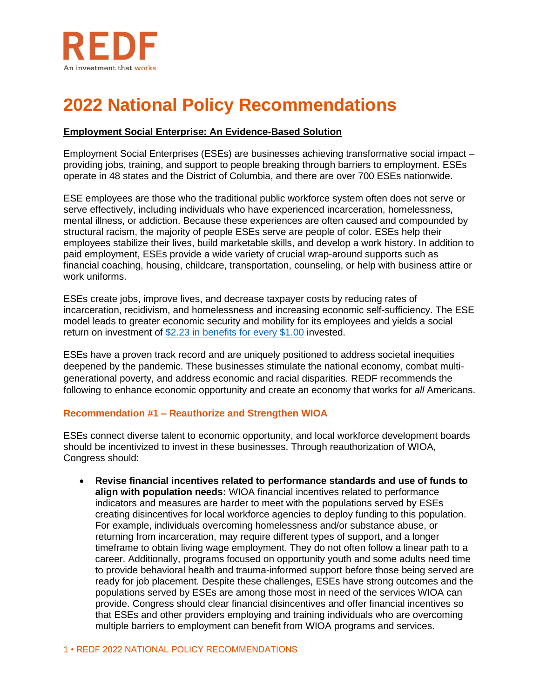

# **2022 National Policy Recommendations**

## **Employment Social Enterprise: An Evidence-Based Solution**

Employment Social Enterprises (ESEs) are businesses achieving transformative social impact – providing jobs, training, and support to people breaking through barriers to employment. ESEs operate in 48 states and the District of Columbia, and there are over 700 ESEs nationwide.

ESE employees are those who the traditional public workforce system often does not serve or serve effectively, including individuals who have experienced incarceration, homelessness, mental illness, or addiction. Because these experiences are often caused and compounded by structural racism, the majority of people ESEs serve are people of color. ESEs help their employees stabilize their lives, build marketable skills, and develop a work history. In addition to paid employment, ESEs provide a wide variety of crucial wrap-around supports such as financial coaching, housing, childcare, transportation, counseling, or help with business attire or work uniforms.

ESEs create jobs, improve lives, and decrease taxpayer costs by reducing rates of incarceration, recidivism, and homelessness and increasing economic self-sufficiency. The ESE model leads to greater economic security and mobility for its employees and yields a social return on investment of [\\$2.23 in benefits for every \\$1.00](https://redf.org/wp-content/uploads/REDF-MJS-Final-Report.pdf#page=66) invested.

ESEs have a proven track record and are uniquely positioned to address societal inequities deepened by the pandemic. These businesses stimulate the national economy, combat multigenerational poverty, and address economic and racial disparities. REDF recommends the following to enhance economic opportunity and create an economy that works for *all* Americans.

#### **Recommendation #1 – Reauthorize and Strengthen WIOA**

ESEs connect diverse talent to economic opportunity, and local workforce development boards should be incentivized to invest in these businesses. Through reauthorization of WIOA, Congress should:

• **Revise financial incentives related to performance standards and use of funds to align with population needs:** WIOA financial incentives related to performance indicators and measures are harder to meet with the populations served by ESEs creating disincentives for local workforce agencies to deploy funding to this population. For example, individuals overcoming homelessness and/or substance abuse, or returning from incarceration, may require different types of support, and a longer timeframe to obtain living wage employment. They do not often follow a linear path to a career. Additionally, programs focused on opportunity youth and some adults need time to provide behavioral health and trauma-informed support before those being served are ready for job placement. Despite these challenges, ESEs have strong outcomes and the populations served by ESEs are among those most in need of the services WIOA can provide. Congress should clear financial disincentives and offer financial incentives so that ESEs and other providers employing and training individuals who are overcoming multiple barriers to employment can benefit from WIOA programs and services.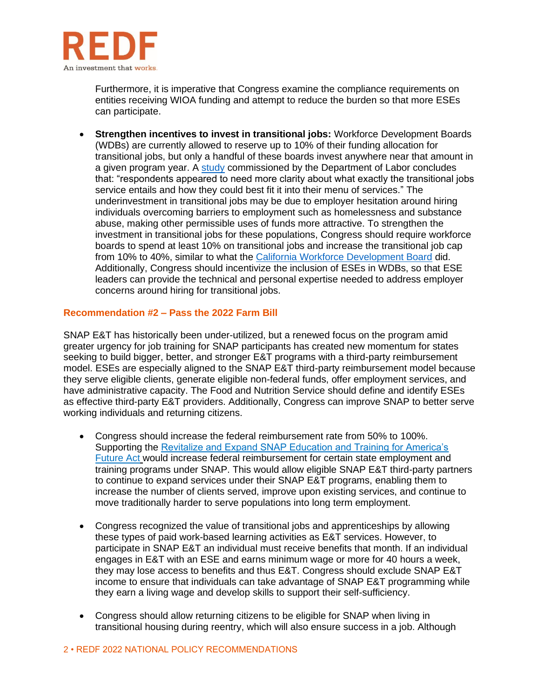

Furthermore, it is imperative that Congress examine the compliance requirements on entities receiving WIOA funding and attempt to reduce the burden so that more ESEs can participate.

• **Strengthen incentives to invest in transitional jobs:** Workforce Development Boards (WDBs) are currently allowed to reserve up to 10% of their funding allocation for transitional jobs, but only a handful of these boards invest anywhere near that amount in a given program year. A [study](https://www.dol.gov/sites/dolgov/files/OASP/evaluation/pdf/ETA_WIOAStudy_AdultDW.pdf) commissioned by the Department of Labor concludes that: "respondents appeared to need more clarity about what exactly the transitional jobs service entails and how they could best fit it into their menu of services." The underinvestment in transitional jobs may be due to employer hesitation around hiring individuals overcoming barriers to employment such as homelessness and substance abuse, making other permissible uses of funds more attractive. To strengthen the investment in transitional jobs for these populations, Congress should require workforce boards to spend at least 10% on transitional jobs and increase the transitional job cap from 10% to 40%, similar to what the [California Workforce Development Board](https://edd.ca.gov/Jobs_and_Training/pubs/wsin20-01att1.pdf) did. Additionally, Congress should incentivize the inclusion of ESEs in WDBs, so that ESE leaders can provide the technical and personal expertise needed to address employer concerns around hiring for transitional jobs.

#### **Recommendation #2 – Pass the 2022 Farm Bill**

SNAP E&T has historically been under-utilized, but a renewed focus on the program amid greater urgency for job training for SNAP participants has created new momentum for states seeking to build bigger, better, and stronger E&T programs with a third-party reimbursement model. ESEs are especially aligned to the SNAP E&T third-party reimbursement model because they serve eligible clients, generate eligible non-federal funds, offer employment services, and have administrative capacity. The Food and Nutrition Service should define and identify ESEs as effective third-party E&T providers. Additionally, Congress can improve SNAP to better serve working individuals and returning citizens.

- Congress should increase the federal reimbursement rate from 50% to 100%. Supporting the [Revitalize and Expand SNAP Education and Training for America's](https://www.congress.gov/bill/117th-congress/house-bill/487?s=1&r=27)  [Future Act](https://www.congress.gov/bill/117th-congress/house-bill/487?s=1&r=27) would increase federal reimbursement for certain state employment and training programs under SNAP. This would allow eligible SNAP E&T third-party partners to continue to expand services under their SNAP E&T programs, enabling them to increase the number of clients served, improve upon existing services, and continue to move traditionally harder to serve populations into long term employment.
- Congress recognized the value of transitional jobs and apprenticeships by allowing these types of paid work-based learning activities as E&T services. However, to participate in SNAP E&T an individual must receive benefits that month. If an individual engages in E&T with an ESE and earns minimum wage or more for 40 hours a week, they may lose access to benefits and thus E&T. Congress should exclude SNAP E&T income to ensure that individuals can take advantage of SNAP E&T programming while they earn a living wage and develop skills to support their self-sufficiency.
- Congress should allow returning citizens to be eligible for SNAP when living in transitional housing during reentry, which will also ensure success in a job. Although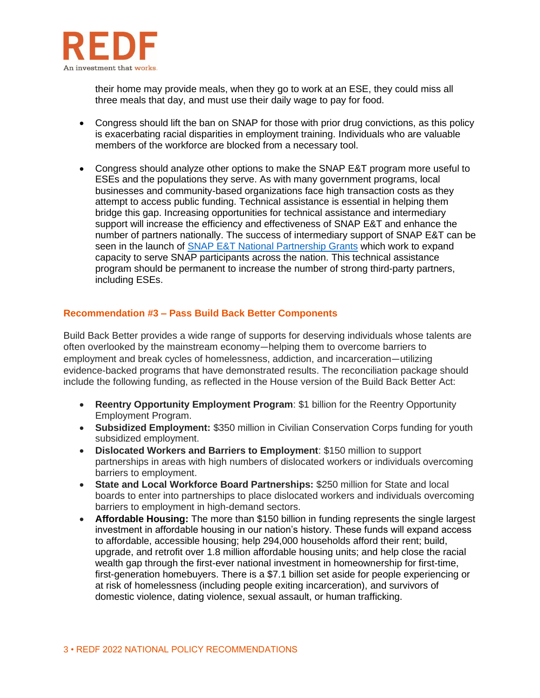

their home may provide meals, when they go to work at an ESE, they could miss all three meals that day, and must use their daily wage to pay for food.

- Congress should lift the ban on SNAP for those with prior drug convictions, as this policy is exacerbating racial disparities in employment training. Individuals who are valuable members of the workforce are blocked from a necessary tool.
- Congress should analyze other options to make the SNAP E&T program more useful to ESEs and the populations they serve. As with many government programs, local businesses and community-based organizations face high transaction costs as they attempt to access public funding. Technical assistance is essential in helping them bridge this gap. Increasing opportunities for technical assistance and intermediary support will increase the efficiency and effectiveness of SNAP E&T and enhance the number of partners nationally. The success of intermediary support of SNAP E&T can be seen in the launch of [SNAP E&T National Partnership Grants](https://www.fns.usda.gov/snap/et-national-partnership-grants) which work to expand capacity to serve SNAP participants across the nation. This technical assistance program should be permanent to increase the number of strong third-party partners, including ESEs.

#### **Recommendation #3 – Pass Build Back Better Components**

Build Back Better provides a wide range of supports for deserving individuals whose talents are often overlooked by the mainstream economy―helping them to overcome barriers to employment and break cycles of homelessness, addiction, and incarceration―utilizing evidence-backed programs that have demonstrated results. The reconciliation package should include the following funding, as reflected in the House version of the Build Back Better Act:

- **Reentry Opportunity Employment Program**: \$1 billion for the Reentry Opportunity Employment Program.
- **Subsidized Employment:** \$350 million in Civilian Conservation Corps funding for youth subsidized employment.
- **Dislocated Workers and Barriers to Employment**: \$150 million to support partnerships in areas with high numbers of dislocated workers or individuals overcoming barriers to employment.
- **State and Local Workforce Board Partnerships:** \$250 million for State and local boards to enter into partnerships to place dislocated workers and individuals overcoming barriers to employment in high-demand sectors.
- **Affordable Housing:** The more than \$150 billion in funding represents the single largest investment in affordable housing in our nation's history. These funds will expand access to affordable, accessible housing; help 294,000 households afford their rent; build, upgrade, and retrofit over 1.8 million affordable housing units; and help close the racial wealth gap through the first-ever national investment in homeownership for first-time, first-generation homebuyers. There is a \$7.1 billion set aside for people experiencing or at risk of homelessness (including people exiting incarceration), and survivors of domestic violence, dating violence, sexual assault, or human trafficking.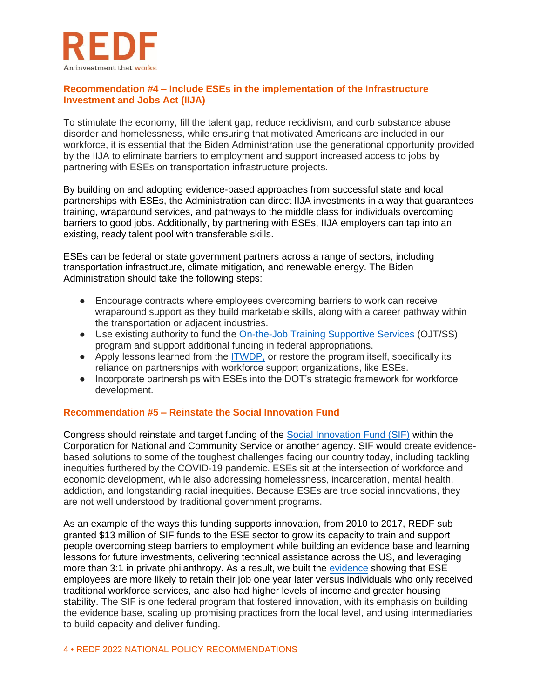

### **Recommendation #4 – Include ESEs in the implementation of the Infrastructure Investment and Jobs Act (IIJA)**

To stimulate the economy, fill the talent gap, reduce recidivism, and curb substance abuse disorder and homelessness, while ensuring that motivated Americans are included in our workforce, it is essential that the Biden Administration use the generational opportunity provided by the IIJA to eliminate barriers to employment and support increased access to jobs by partnering with ESEs on transportation infrastructure projects.

By building on and adopting evidence-based approaches from successful state and local partnerships with ESEs, the Administration can direct IIJA investments in a way that guarantees training, wraparound services, and pathways to the middle class for individuals overcoming barriers to good jobs. Additionally, by partnering with ESEs, IIJA employers can tap into an existing, ready talent pool with transferable skills.

ESEs can be federal or state government partners across a range of sectors, including transportation infrastructure, climate mitigation, and renewable energy. The Biden Administration should take the following steps:

- Encourage contracts where employees overcoming barriers to work can receive wraparound support as they build marketable skills, along with a career pathway within the transportation or adjacent industries.
- Use existing authority to fund the [On-the-Job Training Supportive Services](https://www.fhwa.dot.gov/resourcecenter/teams/civilrights/ojtfactsheet.pdf) (OJT/SS) program and support additional funding in federal appropriations.
- Apply lessons learned from the [ITWDP,](https://www.transit.dot.gov/sites/fta.dot.gov/files/docs/research-innovation/133661/innovative-transit-workforce-development-program-key-lessons-learned-ftareportno0139.pdf) or restore the program itself, specifically its reliance on partnerships with workforce support organizations, like ESEs.
- Incorporate partnerships with ESEs into the DOT's strategic framework for workforce development.

## **Recommendation #5 – Reinstate the Social Innovation Fund**

Congress should reinstate and target funding of the [Social Innovation Fund \(SIF\)](https://obamawhitehouse.archives.gov/administration/eop/sicp/initiatives/social-innovation-fund) within the Corporation for National and Community Service or another agency. SIF would create evidencebased solutions to some of the toughest challenges facing our country today, including tackling inequities furthered by the COVID-19 pandemic. ESEs sit at the intersection of workforce and economic development, while also addressing homelessness, incarceration, mental health, addiction, and longstanding racial inequities. Because ESEs are true social innovations, they are not well understood by traditional government programs.

As an example of the ways this funding supports innovation, from 2010 to 2017, REDF sub granted \$13 million of SIF funds to the ESE sector to grow its capacity to train and support people overcoming steep barriers to employment while building an evidence base and learning lessons for future investments, delivering technical assistance across the US, and leveraging more than 3:1 in private philanthropy. As a result, we built the [evidence](https://redf.org/wp-content/uploads/REDF-MJS-Final-Report.pdf) showing that ESE employees are more likely to retain their job one year later versus individuals who only received traditional workforce services, and also had higher levels of income and greater housing stability. The SIF is one federal program that fostered innovation, with its emphasis on building the evidence base, scaling up promising practices from the local level, and using intermediaries to build capacity and deliver funding.